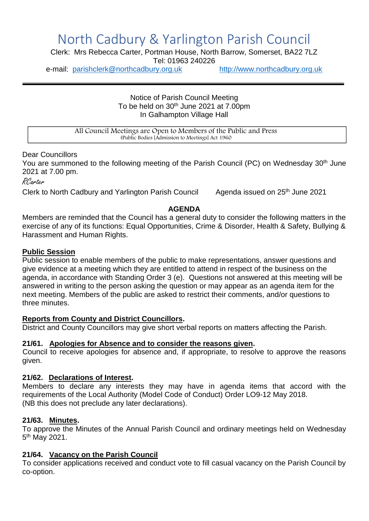# North Cadbury & Yarlington Parish Council

Clerk: Mrs Rebecca Carter, Portman House, North Barrow, Somerset, BA22 7LZ Tel: 01963 240226

e-mail: [parishclerk@northcadbury.org.uk](mailto:parishclerk@northcadbury.org.uk) [http://www.northcadbury.org.uk](http://www.northcadbury.org.uk/)

Notice of Parish Council Meeting To be held on  $30<sup>th</sup>$  June 2021 at 7.00pm In Galhampton Village Hall

All Council Meetings are Open to Members of the Public and Press (Public Bodies [Admission to Meetings] Act 1960

Dear Councillors

You are summoned to the following meeting of the Parish Council (PC) on Wednesday 30<sup>th</sup> June 2021 at 7.00 pm.

RCarter

Clerk to North Cadbury and Yarlington Parish Council

Agenda issued on 25<sup>th</sup> June 2021

## **AGENDA**

Members are reminded that the Council has a general duty to consider the following matters in the exercise of any of its functions: Equal Opportunities, Crime & Disorder, Health & Safety, Bullying & Harassment and Human Rights.

#### **Public Session**

Public session to enable members of the public to make representations, answer questions and give evidence at a meeting which they are entitled to attend in respect of the business on the agenda, in accordance with Standing Order 3 (e). Questions not answered at this meeting will be answered in writing to the person asking the question or may appear as an agenda item for the next meeting. Members of the public are asked to restrict their comments, and/or questions to three minutes.

#### **Reports from County and District Councillors.**

District and County Councillors may give short verbal reports on matters affecting the Parish.

#### **21/61. Apologies for Absence and to consider the reasons given.**

Council to receive apologies for absence and, if appropriate, to resolve to approve the reasons given.

#### **21/62. Declarations of Interest.**

Members to declare any interests they may have in agenda items that accord with the requirements of the Local Authority (Model Code of Conduct) Order LO9-12 May 2018. (NB this does not preclude any later declarations).

#### **21/63. Minutes.**

To approve the Minutes of the Annual Parish Council and ordinary meetings held on Wednesday 5<sup>th</sup> May 2021.

#### **21/64. Vacancy on the Parish Council**

To consider applications received and conduct vote to fill casual vacancy on the Parish Council by co-option.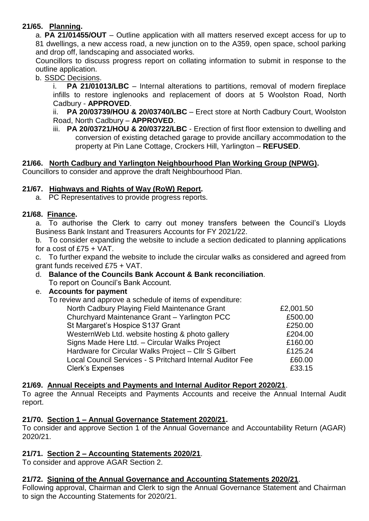# **21/65. Planning.**

a. **PA 21/01455/OUT** – Outline application with all matters reserved except access for up to 81 dwellings, a new access road, a new junction on to the A359, open space, school parking and drop off, landscaping and associated works.

Councillors to discuss progress report on collating information to submit in response to the outline application.

b. SSDC Decisions.

i. **PA 21/01013/LBC** – Internal alterations to partitions, removal of modern fireplace infills to restore inglenooks and replacement of doors at 5 Woolston Road, North Cadbury - **APPROVED**.

ii. **PA 20/03739/HOU & 20/03740/LBC** – Erect store at North Cadbury Court, Woolston Road, North Cadbury – **APPROVED**.

iii. **PA 20/03721/HOU & 20/03722/LBC** - Erection of first floor extension to dwelling and conversion of existing detached garage to provide ancillary accommodation to the property at Pin Lane Cottage, Crockers Hill, Yarlington – **REFUSED**.

# **21/66. North Cadbury and Yarlington Neighbourhood Plan Working Group (NPWG).**

Councillors to consider and approve the draft Neighbourhood Plan.

## **21/67. Highways and Rights of Way (RoW) Report.**

a. PC Representatives to provide progress reports.

## **21/68. Finance.**

a. To authorise the Clerk to carry out money transfers between the Council's Lloyds Business Bank Instant and Treasurers Accounts for FY 2021/22.

b. To consider expanding the website to include a section dedicated to planning applications for a cost of £75 + VAT.

c. To further expand the website to include the circular walks as considered and agreed from grant funds received £75 + VAT.

d. **Balance of the Councils Bank Account & Bank reconciliation**. To report on Council's Bank Account.

## e. **Accounts for payment**

To review and approve a schedule of items of expenditure:

| North Cadbury Playing Field Maintenance Grant             | £2,001.50 |
|-----------------------------------------------------------|-----------|
| Churchyard Maintenance Grant - Yarlington PCC             | £500.00   |
| St Margaret's Hospice S137 Grant                          | £250.00   |
| WesternWeb Ltd. website hosting & photo gallery           | £204.00   |
| Signs Made Here Ltd. - Circular Walks Project             | £160.00   |
| Hardware for Circular Walks Project - Cllr S Gilbert      | £125.24   |
| Local Council Services - S Pritchard Internal Auditor Fee | £60.00    |
| <b>Clerk's Expenses</b>                                   | £33.15    |

## **21/69. Annual Receipts and Payments and Internal Auditor Report 2020/21**.

To agree the Annual Receipts and Payments Accounts and receive the Annual Internal Audit report.

## **21/70. Section 1 – Annual Governance Statement 2020/21.**

To consider and approve Section 1 of the Annual Governance and Accountability Return (AGAR) 2020/21.

## **21/71. Section 2 – Accounting Statements 2020/21**.

To consider and approve AGAR Section 2.

## **21/72. Signing of the Annual Governance and Accounting Statements 2020/21**.

Following approval, Chairman and Clerk to sign the Annual Governance Statement and Chairman to sign the Accounting Statements for 2020/21.